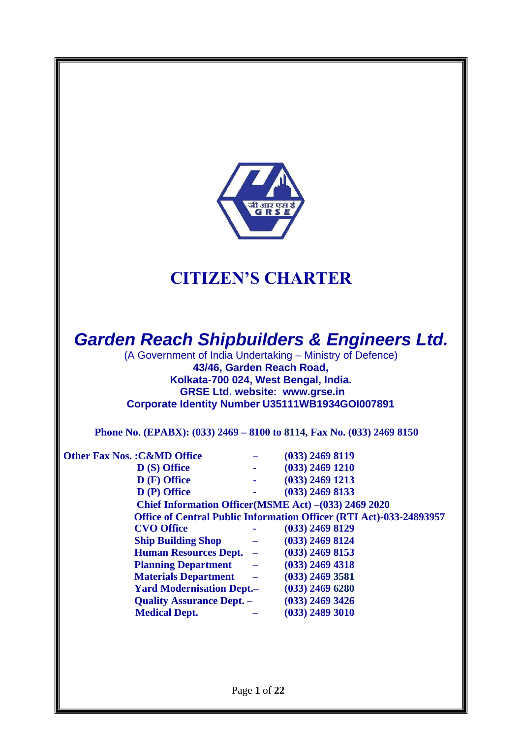

# **CITIZEN'S CHARTER**

# *Garden Reach Shipbuilders & Engineers Ltd.*

(A Government of India Undertaking – Ministry of Defence) **43/46, Garden Reach Road, Kolkata-700 024, West Bengal, India. GRSE Ltd. website: [www.grse.in](http://www.grse.in/) Corporate Identity Number U35111WB1934GOI007891**

**Phone No. (EPABX): (033) 2469 – 8100 to 8114, Fax No. (033) 2469 8150**

| <b>Other Fax Nos.: C&amp;MD Office</b> |                                                   | $(033)$ 2469 8119                                                          |
|----------------------------------------|---------------------------------------------------|----------------------------------------------------------------------------|
| $\bf{D}$ (S) Office                    | <b>All College</b>                                | $(033)$ 2469 1210                                                          |
| D (F) Office                           |                                                   | $(033)$ 2469 1213                                                          |
| D (P) Office                           |                                                   | $(033)$ 2469 8133                                                          |
|                                        |                                                   | Chief Information Officer(MSME Act) – (033) 2469 2020                      |
|                                        |                                                   | <b>Office of Central Public Information Officer (RTI Act)-033-24893957</b> |
| <b>CVO Office</b>                      |                                                   | $(033)$ 2469 8129                                                          |
| <b>Ship Building Shop</b>              | $\overline{\phantom{m}}$                          | $(033)$ 2469 8124                                                          |
| Human Resources Dept. -                |                                                   | $(033)$ 2469 8153                                                          |
| <b>Planning Department</b>             | $\frac{1}{2}$ and $\frac{1}{2}$ and $\frac{1}{2}$ | $(033)$ 2469 4318                                                          |
| <b>Materials Department</b>            | $\equiv$                                          | $(033)$ 2469 3581                                                          |
| <b>Yard Modernisation Dept.–</b>       |                                                   | $(033)$ 2469 6280                                                          |
| <b>Quality Assurance Dept. -</b>       |                                                   | $(033)$ 2469 3426                                                          |
| <b>Medical Dept.</b>                   |                                                   | $(033)$ 2489 3010                                                          |
|                                        |                                                   |                                                                            |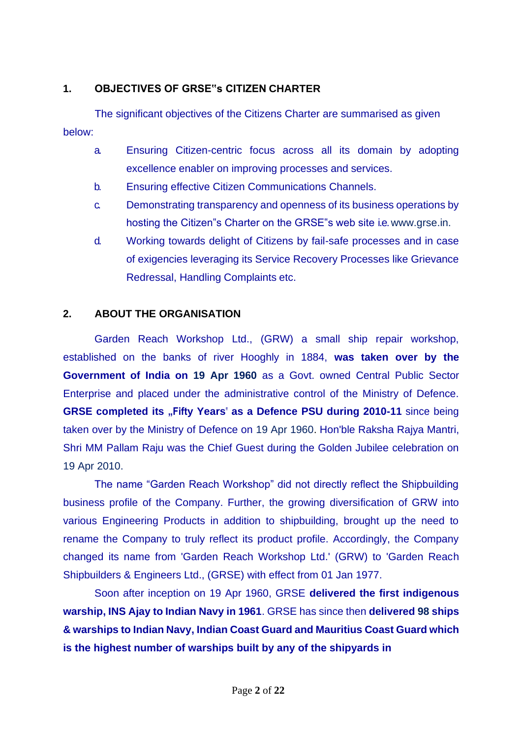## **1. OBJECTIVES OF GRSE"s CITIZEN CHARTER**

below: The significant objectives of the Citizens Charter are summarised as given

- a. Ensuring Citizen-centric focus across all its domain by adopting excellence enabler on improving processes and services.
- b. Ensuring effective Citizen Communications Channels.
- c. Demonstrating transparency and openness of its business operations by hosting the Citizen"s Charter on the GRSE"s web site i.e[.www.grse.in.](http://www.grse.in/)
- d. Working towards delight of Citizens by fail-safe processes and in case of exigencies leveraging its Service Recovery Processes like Grievance Redressal, Handling Complaints etc.

## **2. ABOUT THE ORGANISATION**

Garden Reach Workshop Ltd., (GRW) a small ship repair workshop, established on the banks of river Hooghly in 1884, **was taken over by the Government of India on 19 Apr 1960** as a Govt. owned Central Public Sector Enterprise and placed under the administrative control of the Ministry of Defence. **GRSE completed its "Fifty Years" as a Defence PSU during 2010-11 since being** taken over by the Ministry of Defence on 19 Apr 1960. Hon'ble Raksha Rajya Mantri, Shri MM Pallam Raju was the Chief Guest during the Golden Jubilee celebration on 19 Apr 2010.

The name "Garden Reach Workshop" did not directly reflect the Shipbuilding business profile of the Company. Further, the growing diversification of GRW into various Engineering Products in addition to shipbuilding, brought up the need to rename the Company to truly reflect its product profile. Accordingly, the Company changed its name from 'Garden Reach Workshop Ltd.' (GRW) to 'Garden Reach Shipbuilders & Engineers Ltd., (GRSE) with effect from 01 Jan 1977.

Soon after inception on 19 Apr 1960, GRSE **delivered the first indigenous warship, INS Ajay to Indian Navy in 1961**. GRSE has since then **delivered 98 ships & warships to Indian Navy, Indian Coast Guard and Mauritius Coast Guard which is the highest number of warships built by any of the shipyards in**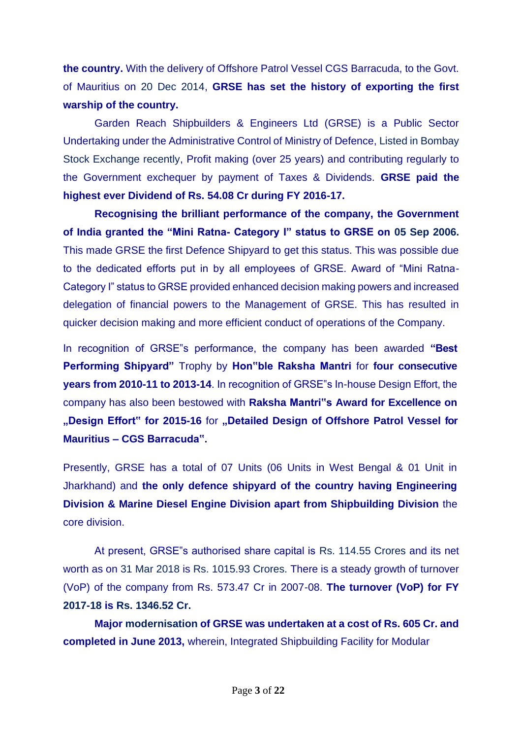**the country.** With the delivery of Offshore Patrol Vessel CGS Barracuda, to the Govt. of Mauritius on 20 Dec 2014, **GRSE has set the history of exporting the first warship of the country.**

Garden Reach Shipbuilders & Engineers Ltd (GRSE) is a Public Sector Undertaking under the Administrative Control of Ministry of Defence, Listed in Bombay Stock Exchange recently, Profit making (over 25 years) and contributing regularly to the Government exchequer by payment of Taxes & Dividends. **GRSE paid the highest ever Dividend of Rs. 54.08 Cr during FY 2016-17.**

**Recognising the brilliant performance of the company, the Government of India granted the "Mini Ratna- Category I" status to GRSE on 05 Sep 2006.**  This made GRSE the first Defence Shipyard to get this status. This was possible due to the dedicated efforts put in by all employees of GRSE. Award of "Mini Ratna-Category I" status to GRSE provided enhanced decision making powers and increased delegation of financial powers to the Management of GRSE. This has resulted in quicker decision making and more efficient conduct of operations of the Company.

In recognition of GRSE"s performance, the company has been awarded **"Best Performing Shipyard"** Trophy by **Hon"ble Raksha Mantri** for **four consecutive years from 2010-11 to 2013-14**. In recognition of GRSE"s In-house Design Effort, the company has also been bestowed with **Raksha Mantri"s Award for Excellence on , Design Effort**" for 2015-16 for **"Detailed Design of Offshore Patrol Vessel for Mauritius – CGS Barracuda".**

Presently, GRSE has a total of 07 Units (06 Units in West Bengal & 01 Unit in Jharkhand) and **the only defence shipyard of the country having Engineering Division & Marine Diesel Engine Division apart from Shipbuilding Division** the core division.

At present, GRSE"s authorised share capital is Rs. 114.55 Crores and its net worth as on 31 Mar 2018 is Rs. 1015.93 Crores. There is a steady growth of turnover (VoP) of the company from Rs. 573.47 Cr in 2007-08. **The turnover (VoP) for FY 2017-18 is Rs. 1346.52 Cr.**

**Major modernisation of GRSE was undertaken at a cost of Rs. 605 Cr. and completed in June 2013,** wherein, Integrated Shipbuilding Facility for Modular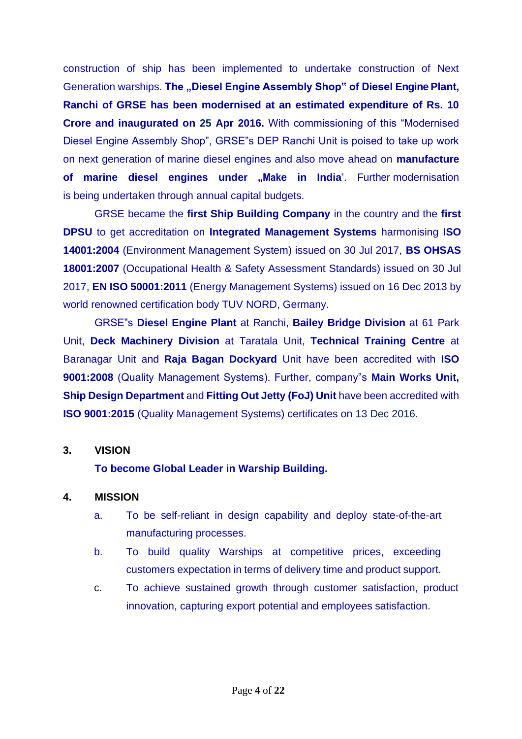construction of ship has been implemented to undertake construction of Next Generation warships. The "Diesel Engine Assembly Shop" of Diesel Engine Plant, **Ranchi of GRSE has been modernised at an estimated expenditure of Rs. 10 Crore and inaugurated on 25 Apr 2016.** With commissioning of this "Modernised Diesel Engine Assembly Shop", GRSE"s DEP Ranchi Unit is poised to take up work on next generation of marine diesel engines and also move ahead on **manufacture**  of marine diesel engines under "Make in India<sup>"</sup>. Further modernisation is being undertaken through annual capital budgets.

GRSE became the **first Ship Building Company** in the country and the **first DPSU** to get accreditation on **Integrated Management Systems** harmonising **ISO 14001:2004** (Environment Management System) issued on 30 Jul 2017, **BS OHSAS 18001:2007** (Occupational Health & Safety Assessment Standards) issued on 30 Jul 2017, **EN ISO 50001:2011** (Energy Management Systems) issued on 16 Dec 2013 by world renowned certification body TUV NORD, Germany.

GRSE"s **Diesel Engine Plant** at Ranchi, **Bailey Bridge Division** at 61 Park Unit, **Deck Machinery Division** at Taratala Unit, **Technical Training Centre** at Baranagar Unit and **Raja Bagan Dockyard** Unit have been accredited with **ISO 9001:2008** (Quality Management Systems). Further, company"s **Main Works Unit, Ship Design Department** and **Fitting Out Jetty (FoJ) Unit** have been accredited with **ISO 9001:2015** (Quality Management Systems) certificates on 13 Dec 2016.

#### **3. VISION**

#### **To become Global Leader in Warship Building.**

#### **4. MISSION**

- a. To be self-reliant in design capability and deploy state-of-the-art manufacturing processes.
- b. To build quality Warships at competitive prices, exceeding customers expectation in terms of delivery time and product support.
- c. To achieve sustained growth through customer satisfaction, product innovation, capturing export potential and employees satisfaction.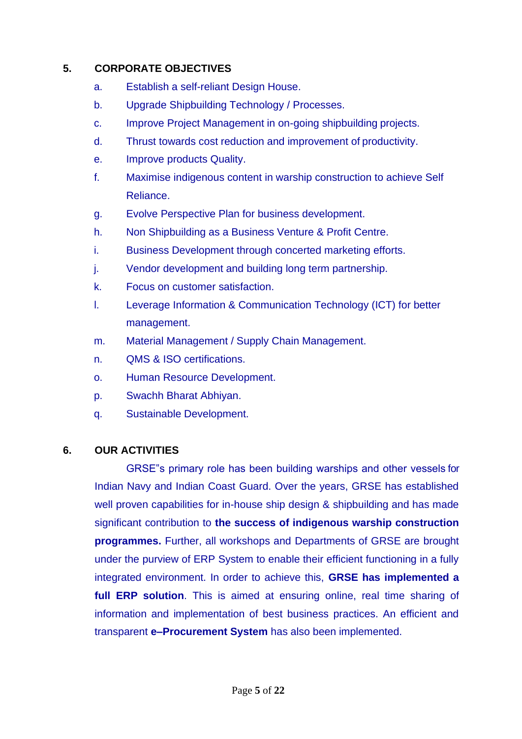### **5. CORPORATE OBJECTIVES**

- a. Establish a self-reliant Design House.
- b. Upgrade Shipbuilding Technology / Processes.
- c. Improve Project Management in on-going shipbuilding projects.
- d. Thrust towards cost reduction and improvement of productivity.
- e. Improve products Quality.
- f. Maximise indigenous content in warship construction to achieve Self Reliance.
- g. Evolve Perspective Plan for business development.
- h. Non Shipbuilding as a Business Venture & Profit Centre.
- i. Business Development through concerted marketing efforts.
- j. Vendor development and building long term partnership.
- k. Focus on customer satisfaction.
- l. Leverage Information & Communication Technology (ICT) for better management.
- m. Material Management / Supply Chain Management.
- n. QMS & ISO certifications.
- o. Human Resource Development.
- p. Swachh Bharat Abhiyan.
- q. Sustainable Development.

#### **6. OUR ACTIVITIES**

GRSE"s primary role has been building warships and other vessels for Indian Navy and Indian Coast Guard. Over the years, GRSE has established well proven capabilities for in-house ship design & shipbuilding and has made significant contribution to **the success of indigenous warship construction programmes.** Further, all workshops and Departments of GRSE are brought under the purview of ERP System to enable their efficient functioning in a fully integrated environment. In order to achieve this, **GRSE has implemented a full ERP solution**. This is aimed at ensuring online, real time sharing of information and implementation of best business practices. An efficient and transparent **e–Procurement System** has also been implemented.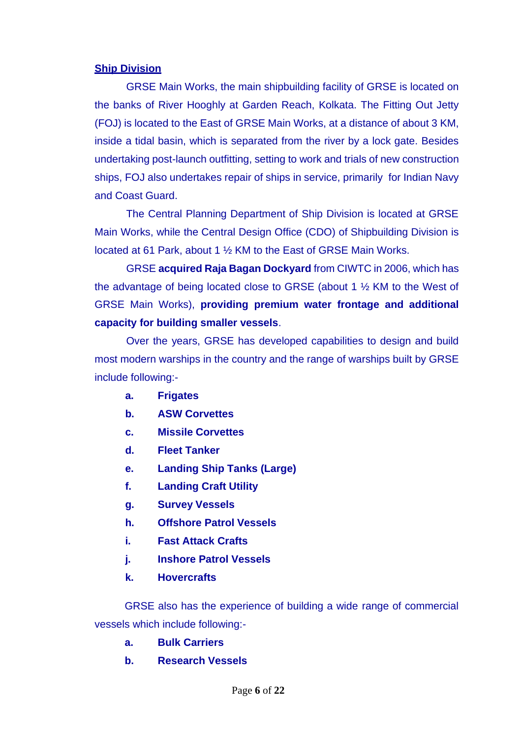#### **Ship Division**

GRSE Main Works, the main shipbuilding facility of GRSE is located on the banks of River Hooghly at Garden Reach, Kolkata. The Fitting Out Jetty (FOJ) is located to the East of GRSE Main Works, at a distance of about 3 KM, inside a tidal basin, which is separated from the river by a lock gate. Besides undertaking post-launch outfitting, setting to work and trials of new construction ships, FOJ also undertakes repair of ships in service, primarily for Indian Navy and Coast Guard.

The Central Planning Department of Ship Division is located at GRSE Main Works, while the Central Design Office (CDO) of Shipbuilding Division is located at 61 Park, about 1 ½ KM to the East of GRSE Main Works.

GRSE **acquired Raja Bagan Dockyard** from CIWTC in 2006, which has the advantage of being located close to GRSE (about 1 ½ KM to the West of GRSE Main Works), **providing premium water frontage and additional capacity for building smaller vessels**.

Over the years, GRSE has developed capabilities to design and build most modern warships in the country and the range of warships built by GRSE include following:-

- **a. Frigates**
- **b. ASW Corvettes**
- **c. Missile Corvettes**
- **d. Fleet Tanker**
- **e. Landing Ship Tanks (Large)**
- **f. Landing Craft Utility**
- **g. Survey Vessels**
- **h. Offshore Patrol Vessels**
- **i. Fast Attack Crafts**
- **j. Inshore Patrol Vessels**
- **k. Hovercrafts**

GRSE also has the experience of building a wide range of commercial vessels which include following:-

- **a. Bulk Carriers**
- **b. Research Vessels**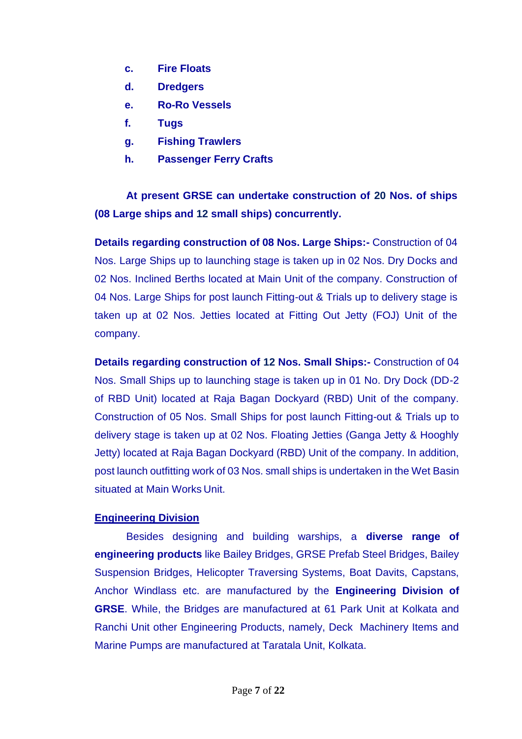- **c. Fire Floats**
- **d. Dredgers**
- **e. Ro-Ro Vessels**
- **f. Tugs**
- **g. Fishing Trawlers**
- **h. Passenger Ferry Crafts**

**At present GRSE can undertake construction of 20 Nos. of ships (08 Large ships and 12 small ships) concurrently.**

**Details regarding construction of 08 Nos. Large Ships:-** Construction of 04 Nos. Large Ships up to launching stage is taken up in 02 Nos. Dry Docks and 02 Nos. Inclined Berths located at Main Unit of the company. Construction of 04 Nos. Large Ships for post launch Fitting-out & Trials up to delivery stage is taken up at 02 Nos. Jetties located at Fitting Out Jetty (FOJ) Unit of the company.

**Details regarding construction of 12 Nos. Small Ships:-** Construction of 04 Nos. Small Ships up to launching stage is taken up in 01 No. Dry Dock (DD-2 of RBD Unit) located at Raja Bagan Dockyard (RBD) Unit of the company. Construction of 05 Nos. Small Ships for post launch Fitting-out & Trials up to delivery stage is taken up at 02 Nos. Floating Jetties (Ganga Jetty & Hooghly Jetty) located at Raja Bagan Dockyard (RBD) Unit of the company. In addition, post launch outfitting work of 03 Nos. small ships is undertaken in the Wet Basin situated at Main Works Unit.

#### **Engineering Division**

Besides designing and building warships, a **diverse range of engineering products** like Bailey Bridges, GRSE Prefab Steel Bridges, Bailey Suspension Bridges, Helicopter Traversing Systems, Boat Davits, Capstans, Anchor Windlass etc. are manufactured by the **Engineering Division of GRSE**. While, the Bridges are manufactured at 61 Park Unit at Kolkata and Ranchi Unit other Engineering Products, namely, Deck Machinery Items and Marine Pumps are manufactured at Taratala Unit, Kolkata.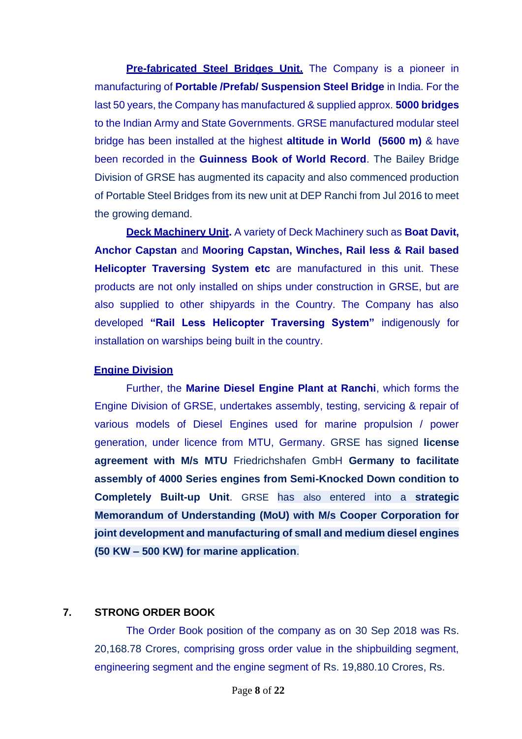**Pre-fabricated Steel Bridges Unit.** The Company is a pioneer in manufacturing of **Portable /Prefab/ Suspension Steel Bridge** in India. For the last 50 years, the Company has manufactured & supplied approx. **5000 bridges**  to the Indian Army and State Governments. GRSE manufactured modular steel bridge has been installed at the highest **altitude in World (5600 m)** & have been recorded in the **Guinness Book of World Record**. The Bailey Bridge Division of GRSE has augmented its capacity and also commenced production of Portable Steel Bridges from its new unit at DEP Ranchi from Jul 2016 to meet the growing demand.

**Deck Machinery Unit.** A variety of Deck Machinery such as **Boat Davit, Anchor Capstan** and **Mooring Capstan, Winches, Rail less & Rail based Helicopter Traversing System etc** are manufactured in this unit. These products are not only installed on ships under construction in GRSE, but are also supplied to other shipyards in the Country. The Company has also developed **"Rail Less Helicopter Traversing System"** indigenously for installation on warships being built in the country.

#### **Engine Division**

Further, the **Marine Diesel Engine Plant at Ranchi**, which forms the Engine Division of GRSE, undertakes assembly, testing, servicing & repair of various models of Diesel Engines used for marine propulsion / power generation, under licence from MTU, Germany. GRSE has signed **license agreement with M/s MTU** Friedrichshafen GmbH **Germany to facilitate assembly of 4000 Series engines from Semi-Knocked Down condition to Completely Built-up Unit**. GRSE has also entered into a **strategic Memorandum of Understanding (MoU) with M/s Cooper Corporation for joint development and manufacturing of small and medium diesel engines (50 KW – 500 KW) for marine application**.

#### **7. STRONG ORDER BOOK**

The Order Book position of the company as on 30 Sep 2018 was Rs. 20,168.78 Crores, comprising gross order value in the shipbuilding segment, engineering segment and the engine segment of Rs. 19,880.10 Crores, Rs.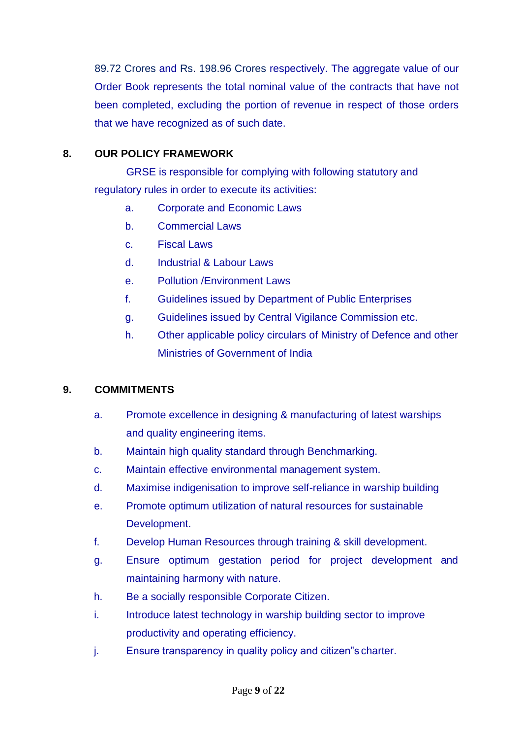89.72 Crores and Rs. 198.96 Crores respectively. The aggregate value of our Order Book represents the total nominal value of the contracts that have not been completed, excluding the portion of revenue in respect of those orders that we have recognized as of such date.

## **8. OUR POLICY FRAMEWORK**

GRSE is responsible for complying with following statutory and regulatory rules in order to execute its activities:

- a. Corporate and Economic Laws
- b. Commercial Laws
- c. Fiscal Laws
- d. Industrial & Labour Laws
- e. Pollution /Environment Laws
- f. Guidelines issued by Department of Public Enterprises
- g. Guidelines issued by Central Vigilance Commission etc.
- h. Other applicable policy circulars of Ministry of Defence and other Ministries of Government of India

## **9. COMMITMENTS**

- a. Promote excellence in designing & manufacturing of latest warships and quality engineering items.
- b. Maintain high quality standard through Benchmarking.
- c. Maintain effective environmental management system.
- d. Maximise indigenisation to improve self-reliance in warship building
- e. Promote optimum utilization of natural resources for sustainable Development.
- f. Develop Human Resources through training & skill development.
- g. Ensure optimum gestation period for project development and maintaining harmony with nature.
- h. Be a socially responsible Corporate Citizen.
- i. Introduce latest technology in warship building sector to improve productivity and operating efficiency.
- j. Ensure transparency in quality policy and citizen"s charter.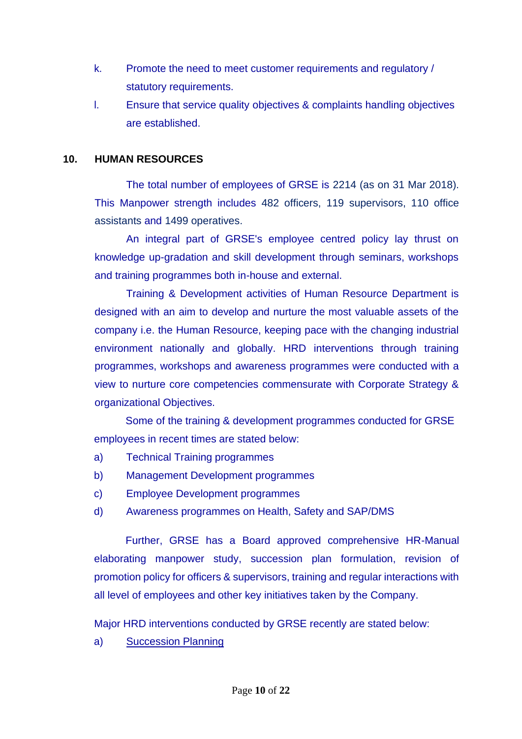- k. Promote the need to meet customer requirements and regulatory / statutory requirements.
- l. Ensure that service quality objectives & complaints handling objectives are established.

#### **10. HUMAN RESOURCES**

The total number of employees of GRSE is 2214 (as on 31 Mar 2018). This Manpower strength includes 482 officers, 119 supervisors, 110 office assistants and 1499 operatives.

An integral part of GRSE's employee centred policy lay thrust on knowledge up-gradation and skill development through seminars, workshops and training programmes both in-house and external.

Training & Development activities of Human Resource Department is designed with an aim to develop and nurture the most valuable assets of the company i.e. the Human Resource, keeping pace with the changing industrial environment nationally and globally. HRD interventions through training programmes, workshops and awareness programmes were conducted with a view to nurture core competencies commensurate with Corporate Strategy & organizational Objectives.

Some of the training & development programmes conducted for GRSE employees in recent times are stated below:

- a) Technical Training programmes
- b) Management Development programmes
- c) Employee Development programmes
- d) Awareness programmes on Health, Safety and SAP/DMS

Further, GRSE has a Board approved comprehensive HR-Manual elaborating manpower study, succession plan formulation, revision of promotion policy for officers & supervisors, training and regular interactions with all level of employees and other key initiatives taken by the Company.

Major HRD interventions conducted by GRSE recently are stated below:

a) Succession Planning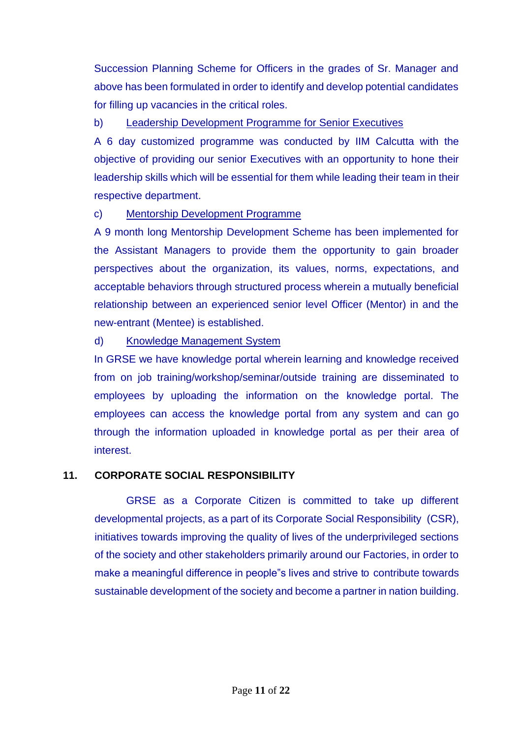Succession Planning Scheme for Officers in the grades of Sr. Manager and above has been formulated in order to identify and develop potential candidates for filling up vacancies in the critical roles.

### b) Leadership Development Programme for Senior Executives

A 6 day customized programme was conducted by IIM Calcutta with the objective of providing our senior Executives with an opportunity to hone their leadership skills which will be essential for them while leading their team in their respective department.

## c) Mentorship Development Programme

A 9 month long Mentorship Development Scheme has been implemented for the Assistant Managers to provide them the opportunity to gain broader perspectives about the organization, its values, norms, expectations, and acceptable behaviors through structured process wherein a mutually beneficial relationship between an experienced senior level Officer (Mentor) in and the new-entrant (Mentee) is established.

## d) Knowledge Management System

In GRSE we have knowledge portal wherein learning and knowledge received from on job training/workshop/seminar/outside training are disseminated to employees by uploading the information on the knowledge portal. The employees can access the knowledge portal from any system and can go through the information uploaded in knowledge portal as per their area of interest.

## **11. CORPORATE SOCIAL RESPONSIBILITY**

GRSE as a Corporate Citizen is committed to take up different developmental projects, as a part of its Corporate Social Responsibility (CSR), initiatives towards improving the quality of lives of the underprivileged sections of the society and other stakeholders primarily around our Factories, in order to make a meaningful difference in people"s lives and strive to contribute towards sustainable development of the society and become a partner in nation building.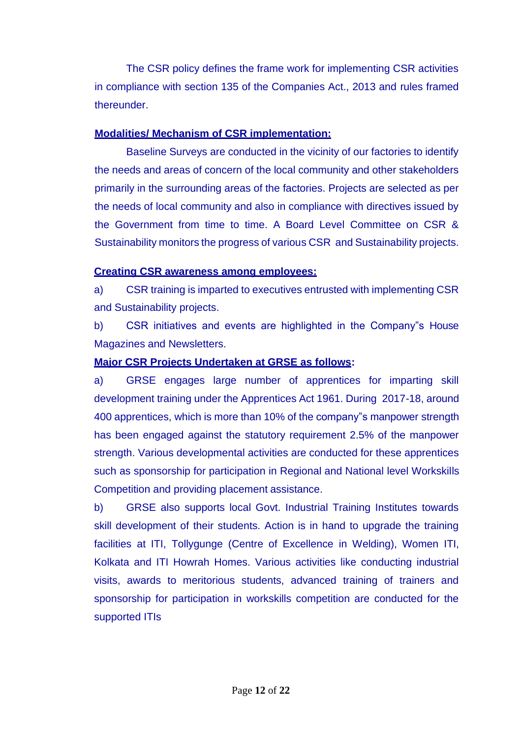The CSR policy defines the frame work for implementing CSR activities in compliance with section 135 of the Companies Act., 2013 and rules framed thereunder.

#### **Modalities/ Mechanism of CSR implementation:**

Baseline Surveys are conducted in the vicinity of our factories to identify the needs and areas of concern of the local community and other stakeholders primarily in the surrounding areas of the factories. Projects are selected as per the needs of local community and also in compliance with directives issued by the Government from time to time. A Board Level Committee on CSR & Sustainability monitors the progress of various CSR and Sustainability projects.

#### **Creating CSR awareness among employees:**

a) CSR training is imparted to executives entrusted with implementing CSR and Sustainability projects.

b) CSR initiatives and events are highlighted in the Company"s House Magazines and Newsletters.

## **Major CSR Projects Undertaken at GRSE as follows:**

a) GRSE engages large number of apprentices for imparting skill development training under the Apprentices Act 1961. During 2017-18, around 400 apprentices, which is more than 10% of the company"s manpower strength has been engaged against the statutory requirement 2.5% of the manpower strength. Various developmental activities are conducted for these apprentices such as sponsorship for participation in Regional and National level Workskills Competition and providing placement assistance.

b) GRSE also supports local Govt. Industrial Training Institutes towards skill development of their students. Action is in hand to upgrade the training facilities at ITI, Tollygunge (Centre of Excellence in Welding), Women ITI, Kolkata and ITI Howrah Homes. Various activities like conducting industrial visits, awards to meritorious students, advanced training of trainers and sponsorship for participation in workskills competition are conducted for the supported ITIs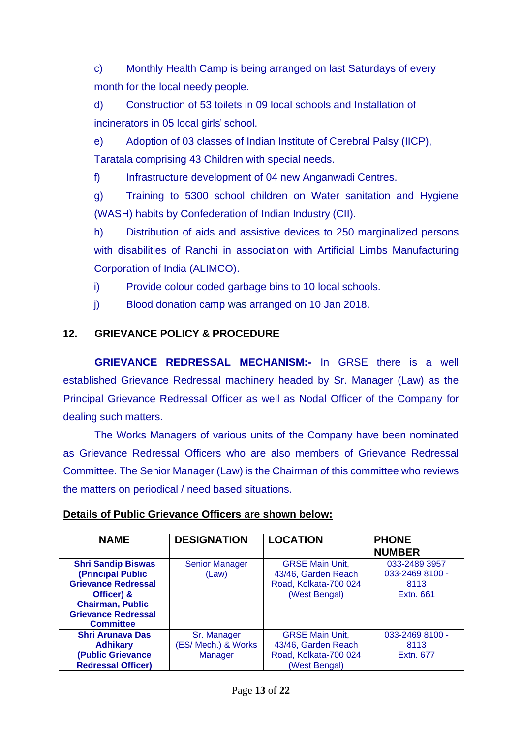c) Monthly Health Camp is being arranged on last Saturdays of every month for the local needy people.

d) Construction of 53 toilets in 09 local schools and Installation of incinerators in 05 local girls' school.

e) Adoption of 03 classes of Indian Institute of Cerebral Palsy (IICP), Taratala comprising 43 Children with special needs.

f) Infrastructure development of 04 new Anganwadi Centres.

g) Training to 5300 school children on Water sanitation and Hygiene (WASH) habits by Confederation of Indian Industry (CII).

h) Distribution of aids and assistive devices to 250 marginalized persons with disabilities of Ranchi in association with Artificial Limbs Manufacturing Corporation of India (ALIMCO).

i) Provide colour coded garbage bins to 10 local schools.

j) Blood donation camp was arranged on 10 Jan 2018.

## **12. GRIEVANCE POLICY & PROCEDURE**

**GRIEVANCE REDRESSAL MECHANISM:-** In GRSE there is a well established Grievance Redressal machinery headed by Sr. Manager (Law) as the Principal Grievance Redressal Officer as well as Nodal Officer of the Company for dealing such matters.

The Works Managers of various units of the Company have been nominated as Grievance Redressal Officers who are also members of Grievance Redressal Committee. The Senior Manager (Law) is the Chairman of this committee who reviews the matters on periodical / need based situations.

| <b>NAME</b>                                                                                                                                                             | <b>DESIGNATION</b>                            | <b>LOCATION</b>                                                                         | <b>PHONE</b><br><b>NUMBER</b>                         |
|-------------------------------------------------------------------------------------------------------------------------------------------------------------------------|-----------------------------------------------|-----------------------------------------------------------------------------------------|-------------------------------------------------------|
| <b>Shri Sandip Biswas</b><br>(Principal Public<br><b>Grievance Redressal</b><br>Officer) &<br><b>Chairman, Public</b><br><b>Grievance Redressal</b><br><b>Committee</b> | <b>Senior Manager</b><br>(Law)                | <b>GRSE Main Unit,</b><br>43/46, Garden Reach<br>Road, Kolkata-700 024<br>(West Bengal) | 033-2489 3957<br>033-2469 8100 -<br>8113<br>Extn. 661 |
| <b>Shri Arunava Das</b><br><b>Adhikary</b><br>(Public Grievance<br><b>Redressal Officer)</b>                                                                            | Sr. Manager<br>(ES/ Mech.) & Works<br>Manager | <b>GRSE Main Unit,</b><br>43/46, Garden Reach<br>Road, Kolkata-700 024<br>(West Bengal) | 033-2469 8100 -<br>8113<br>Extn. 677                  |

#### **Details of Public Grievance Officers are shown below:**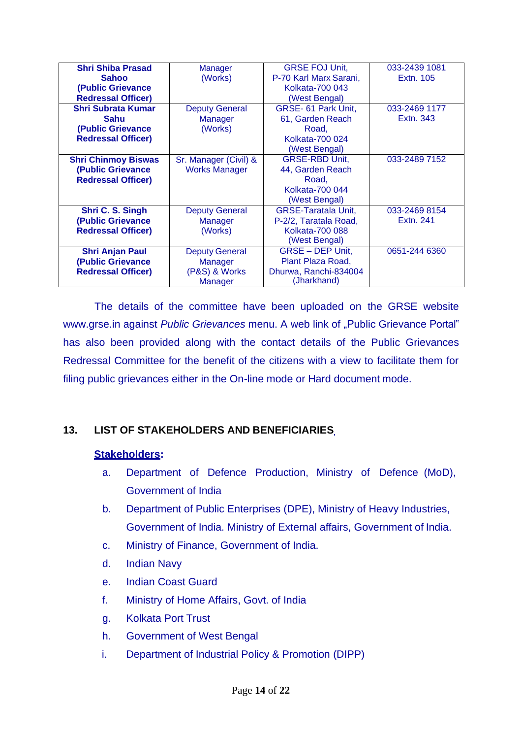| <b>Shri Shiba Prasad</b>   | Manager               | <b>GRSE FOJ Unit,</b>      | 033-2439 1081 |
|----------------------------|-----------------------|----------------------------|---------------|
| <b>Sahoo</b>               | (Works)               | P-70 Karl Marx Sarani,     | Extn. 105     |
| (Public Grievance          |                       | Kolkata-700 043            |               |
| <b>Redressal Officer)</b>  |                       | (West Bengal)              |               |
| <b>Shri Subrata Kumar</b>  | <b>Deputy General</b> | GRSE- 61 Park Unit,        | 033-2469 1177 |
| <b>Sahu</b>                | <b>Manager</b>        | 61, Garden Reach           | Extn. 343     |
| (Public Grievance          | (Works)               | Road,                      |               |
| <b>Redressal Officer)</b>  |                       | Kolkata-700 024            |               |
|                            |                       | (West Bengal)              |               |
| <b>Shri Chinmoy Biswas</b> | Sr. Manager (Civil) & | <b>GRSE-RBD Unit,</b>      | 033-2489 7152 |
| (Public Grievance          | <b>Works Manager</b>  | 44, Garden Reach           |               |
| <b>Redressal Officer)</b>  |                       | Road,                      |               |
|                            |                       | Kolkata-700 044            |               |
|                            |                       | (West Bengal)              |               |
| Shri C. S. Singh           | <b>Deputy General</b> | <b>GRSE-Taratala Unit,</b> | 033-2469 8154 |
| (Public Grievance          | Manager               | P-2/2, Taratala Road,      | Extn. 241     |
| <b>Redressal Officer)</b>  | (Works)               | <b>Kolkata-700 088</b>     |               |
|                            |                       | (West Bengal)              |               |
| <b>Shri Anjan Paul</b>     | <b>Deputy General</b> | GRSE - DEP Unit,           | 0651-244 6360 |
| (Public Grievance          | Manager               | Plant Plaza Road,          |               |
| <b>Redressal Officer)</b>  | (P&S) & Works         | Dhurwa, Ranchi-834004      |               |
|                            | Manager               | (Jharkhand)                |               |

The details of the committee have been uploaded on the GRSE website [www.grse.in](http://www.grse.in/) against *Public Grievances* menu. A web link of "Public Grievance Portal" has also been provided along with the contact details of the Public Grievances Redressal Committee for the benefit of the citizens with a view to facilitate them for filing public grievances either in the On-line mode or Hard document mode.

## **13. LIST OF STAKEHOLDERS AND BENEFICIARIES**

#### **Stakeholders:**

- a. Department of Defence Production, Ministry of Defence (MoD), Government of India
- b. Department of Public Enterprises (DPE), Ministry of Heavy Industries, Government of India. Ministry of External affairs, Government of India.
- c. Ministry of Finance, Government of India.
- d. Indian Navy
- e. Indian Coast Guard
- f. Ministry of Home Affairs, Govt. of India
- g. Kolkata Port Trust
- h. Government of West Bengal
- i. Department of Industrial Policy & Promotion (DIPP)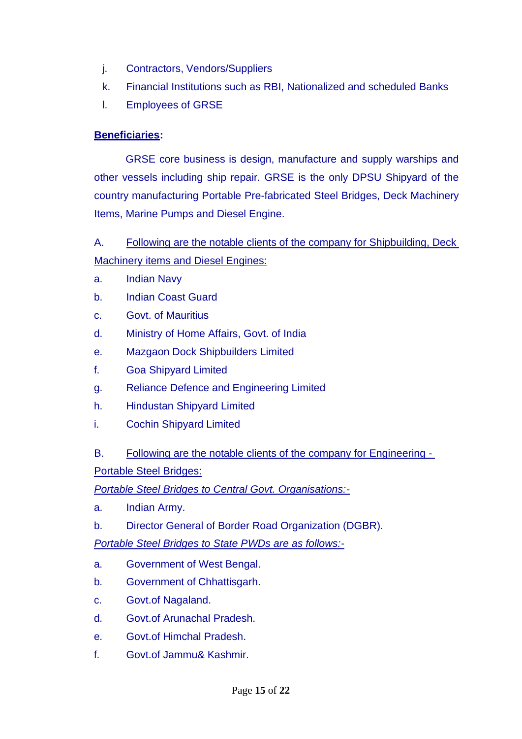- j. Contractors, Vendors/Suppliers
- k. Financial Institutions such as RBI, Nationalized and scheduled Banks
- l. Employees of GRSE

# **Beneficiaries:**

GRSE core business is design, manufacture and supply warships and other vessels including ship repair. GRSE is the only DPSU Shipyard of the country manufacturing Portable Pre-fabricated Steel Bridges, Deck Machinery Items, Marine Pumps and Diesel Engine.

A. Following are the notable clients of the company for Shipbuilding, Deck Machinery items and Diesel Engines:

- a. Indian Navy
- b. Indian Coast Guard
- c. Govt. of Mauritius
- d. Ministry of Home Affairs, Govt. of India
- e. Mazgaon Dock Shipbuilders Limited
- f. Goa Shipyard Limited
- g. Reliance Defence and Engineering Limited
- h. Hindustan Shipyard Limited
- i. Cochin Shipyard Limited
- B. Following are the notable clients of the company for Engineering Portable Steel Bridges:

*Portable Steel Bridges to Central Govt. Organisations:-*

- a. Indian Army.
- b. Director General of Border Road Organization (DGBR).

*Portable Steel Bridges to State PWDs are as follows:-*

- a. Government of West Bengal.
- b. Government of Chhattisgarh.
- c. Govt.of Nagaland.
- d. Govt.of Arunachal Pradesh.
- e. Govt.of Himchal Pradesh.
- f. Govt.of Jammu& Kashmir.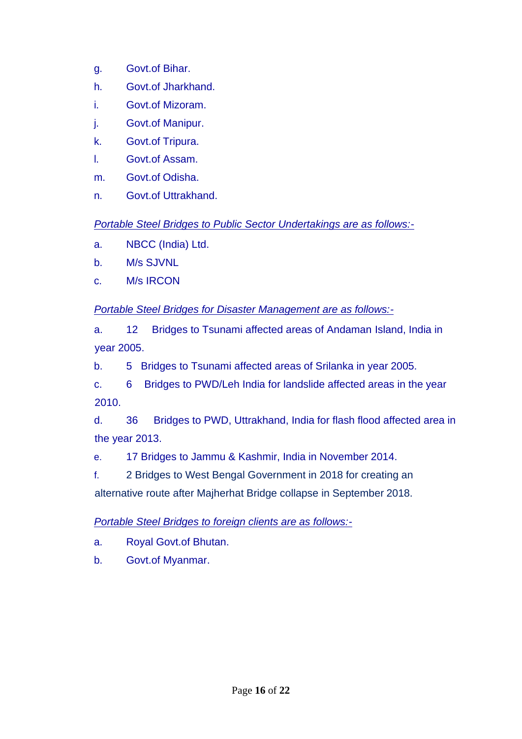- g. Govt.of Bihar.
- h. Govt.of Jharkhand.
- i. Govt.of Mizoram.
- j. Govt.of Manipur.
- k. Govt.of Tripura.
- l. Govt.of Assam.
- m. Govt.of Odisha.
- n. Govt.of Uttrakhand.

## *Portable Steel Bridges to Public Sector Undertakings are as follows:-*

- a. NBCC (India) Ltd.
- b. M/s SJVNL
- c. M/s IRCON

## *Portable Steel Bridges for Disaster Management are as follows:-*

a. 12 Bridges to Tsunami affected areas of Andaman Island, India in year 2005.

b. 5 Bridges to Tsunami affected areas of Srilanka in year 2005.

c. 6 Bridges to PWD/Leh India for landslide affected areas in the year 2010.

d. 36 Bridges to PWD, Uttrakhand, India for flash flood affected area in the year 2013.

e. 17 Bridges to Jammu & Kashmir, India in November 2014.

f. 2 Bridges to West Bengal Government in 2018 for creating an

alternative route after Majherhat Bridge collapse in September 2018.

## *Portable Steel Bridges to foreign clients are as follows:-*

- a. Royal Govt.of Bhutan.
- b. Govt.of Myanmar.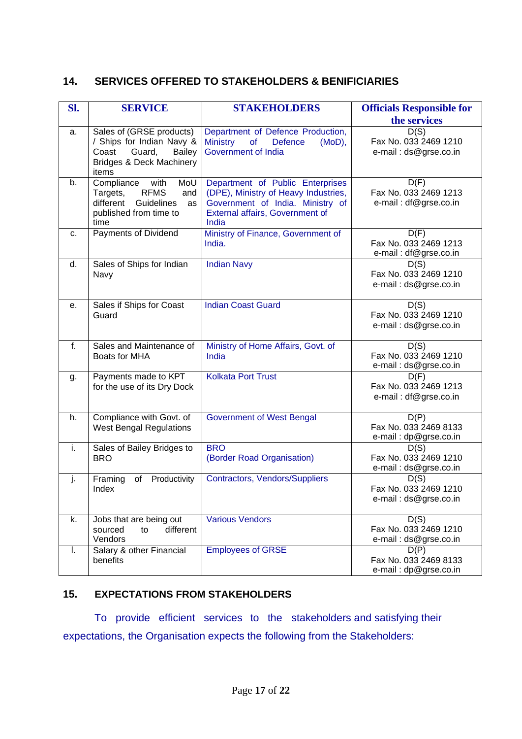#### **14. SERVICES OFFERED TO STAKEHOLDERS & BENIFICIARIES**

| SI. | <b>SERVICE</b>                                                                                                                     | <b>STAKEHOLDERS</b>                                                                                                                                      | <b>Officials Responsible for</b><br>the services       |
|-----|------------------------------------------------------------------------------------------------------------------------------------|----------------------------------------------------------------------------------------------------------------------------------------------------------|--------------------------------------------------------|
| a.  | Sales of (GRSE products)<br>/ Ships for Indian Navy &<br>Guard,<br>Coast<br>Bailey<br><b>Bridges &amp; Deck Machinery</b><br>items | Department of Defence Production,<br><b>Ministry</b><br>of<br><b>Defence</b><br>(MoD),<br>Government of India                                            | D(S)<br>Fax No. 033 2469 1210<br>e-mail: ds@grse.co.in |
| b.  | Compliance<br>with<br>MoU<br><b>RFMS</b><br>Targets,<br>and<br>different Guidelines<br>as<br>published from time to<br>time        | Department of Public Enterprises<br>(DPE), Ministry of Heavy Industries,<br>Government of India. Ministry of<br>External affairs, Government of<br>India | D(F)<br>Fax No. 033 2469 1213<br>e-mail: df@grse.co.in |
| c.  | Payments of Dividend                                                                                                               | Ministry of Finance, Government of<br>India.                                                                                                             | D(F)<br>Fax No. 033 2469 1213<br>e-mail: df@grse.co.in |
| d.  | Sales of Ships for Indian<br>Navy                                                                                                  | <b>Indian Navy</b>                                                                                                                                       | D(S)<br>Fax No. 033 2469 1210<br>e-mail: ds@grse.co.in |
| е.  | Sales if Ships for Coast<br>Guard                                                                                                  | <b>Indian Coast Guard</b>                                                                                                                                | D(S)<br>Fax No. 033 2469 1210<br>e-mail: ds@grse.co.in |
| f.  | Sales and Maintenance of<br>Boats for MHA                                                                                          | Ministry of Home Affairs, Govt. of<br>India                                                                                                              | D(S)<br>Fax No. 033 2469 1210<br>e-mail: ds@grse.co.in |
| g.  | Payments made to KPT<br>for the use of its Dry Dock                                                                                | <b>Kolkata Port Trust</b>                                                                                                                                | D(F)<br>Fax No. 033 2469 1213<br>e-mail: df@grse.co.in |
| h.  | Compliance with Govt. of<br><b>West Bengal Regulations</b>                                                                         | <b>Government of West Bengal</b>                                                                                                                         | D(P)<br>Fax No. 033 2469 8133<br>e-mail: dp@grse.co.in |
| i.  | Sales of Bailey Bridges to<br><b>BRO</b>                                                                                           | <b>BRO</b><br>(Border Road Organisation)                                                                                                                 | D(S)<br>Fax No. 033 2469 1210<br>e-mail: ds@grse.co.in |
| j.  | Productivity<br>Framing<br>of<br>Index                                                                                             | Contractors, Vendors/Suppliers                                                                                                                           | D(S)<br>Fax No. 033 2469 1210<br>e-mail: ds@grse.co.in |
| k.  | Jobs that are being out<br>different<br>sourced<br>to<br>Vendors                                                                   | <b>Various Vendors</b>                                                                                                                                   | D(S)<br>Fax No. 033 2469 1210<br>e-mail: ds@grse.co.in |
| I.  | Salary & other Financial<br>benefits                                                                                               | <b>Employees of GRSE</b>                                                                                                                                 | D(P)<br>Fax No. 033 2469 8133<br>e-mail: dp@grse.co.in |

## **15. EXPECTATIONS FROM STAKEHOLDERS**

To provide efficient services to the stakeholders and satisfying their expectations, the Organisation expects the following from the Stakeholders: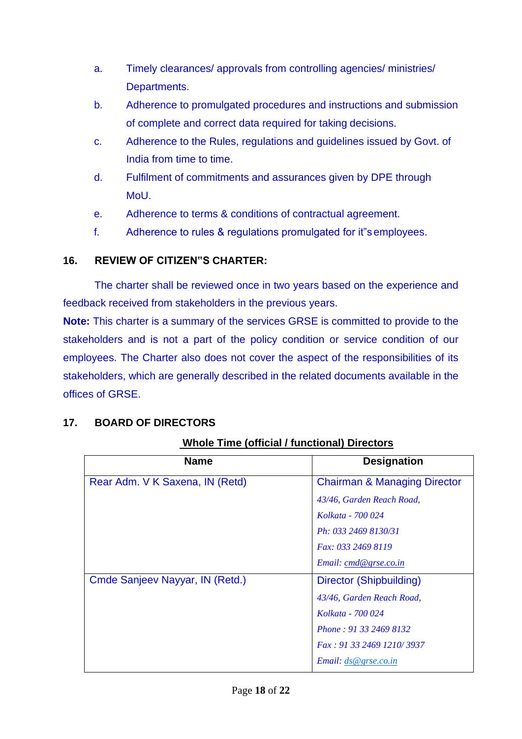- a. Timely clearances/ approvals from controlling agencies/ ministries/ Departments.
- b. Adherence to promulgated procedures and instructions and submission of complete and correct data required for taking decisions.
- c. Adherence to the Rules, regulations and guidelines issued by Govt. of India from time to time.
- d. Fulfilment of commitments and assurances given by DPE through MoU.
- e. Adherence to terms & conditions of contractual agreement.
- f. Adherence to rules & regulations promulgated for it"semployees.

## **16. REVIEW OF CITIZEN"S CHARTER:**

The charter shall be reviewed once in two years based on the experience and feedback received from stakeholders in the previous years.

**Note:** This charter is a summary of the services GRSE is committed to provide to the stakeholders and is not a part of the policy condition or service condition of our employees. The Charter also does not cover the aspect of the responsibilities of its stakeholders, which are generally described in the related documents available in the offices of GRSE.

## **17. BOARD OF DIRECTORS**

| <b>Name</b>                     | <b>Designation</b>                      |
|---------------------------------|-----------------------------------------|
| Rear Adm. V K Saxena, IN (Retd) | <b>Chairman &amp; Managing Director</b> |
|                                 | 43/46, Garden Reach Road,               |
|                                 | Kolkata - 700 024                       |
|                                 | Ph: 033 2469 8130/31                    |
|                                 | <i>Fax: 033 2469 8119</i>               |
|                                 | Email: cmd@grse.co.in                   |
| Cmde Sanjeev Nayyar, IN (Retd.) | Director (Shipbuilding)                 |
|                                 | 43/46, Garden Reach Road,               |
|                                 | Kolkata - 700 024                       |
|                                 | Phone: 91 33 2469 8132                  |
|                                 | Fax: 91 33 2469 1210/3937               |
|                                 | <i>Email:</i> $ds$ <i>@grse.co.in</i>   |

## **Whole Time (official / functional) Directors**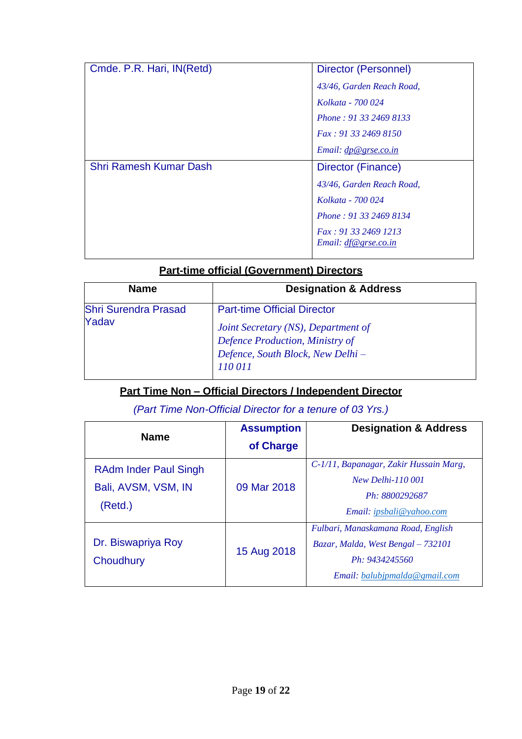| Cmde. P.R. Hari, IN(Retd)     | Director (Personnel)                                |
|-------------------------------|-----------------------------------------------------|
|                               | 43/46, Garden Reach Road,                           |
|                               | Kolkata - 700 024                                   |
|                               | Phone: 91 33 2469 8133                              |
|                               | Fax: 91 33 2469 8150                                |
|                               | Email: $dp@\,grse.co.in$                            |
| <b>Shri Ramesh Kumar Dash</b> | Director (Finance)                                  |
|                               | 43/46, Garden Reach Road,                           |
|                               | Kolkata - 700 024                                   |
|                               | Phone: 91 33 2469 8134                              |
|                               | Fax: 91 33 2469 1213<br><i>Email: df@grse.co.in</i> |

## **Part-time official (Government) Directors**

| <b>Name</b>                          | <b>Designation &amp; Address</b>                                       |
|--------------------------------------|------------------------------------------------------------------------|
| <b>Shri Surendra Prasad</b><br>Yadav | <b>Part-time Official Director</b>                                     |
|                                      | Joint Secretary (NS), Department of<br>Defence Production, Ministry of |
|                                      | Defence, South Block, New Delhi -                                      |
|                                      | 110 011                                                                |

## **Part Time Non – Official Directors / Independent Director**

## *(Part Time Non-Official Director for a tenure of 03 Yrs.)*

| <b>Name</b>                                                    | <b>Assumption</b><br>of Charge | <b>Designation &amp; Address</b>                                                                                            |
|----------------------------------------------------------------|--------------------------------|-----------------------------------------------------------------------------------------------------------------------------|
| <b>RAdm Inder Paul Singh</b><br>Bali, AVSM, VSM, IN<br>(Retd.) | 09 Mar 2018                    | C-1/11, Bapanagar, Zakir Hussain Marg,<br><b>New Delhi-110 001</b><br>Ph: 8800292687<br>Email: ipsbali@yahoo.com            |
| Dr. Biswapriya Roy<br>Choudhury                                | 15 Aug 2018                    | Fulbari, Manaskamana Road, English<br>Bazar, Malda, West Bengal - 732101<br>Ph: 9434245560<br>Email: balubipmalda@gmail.com |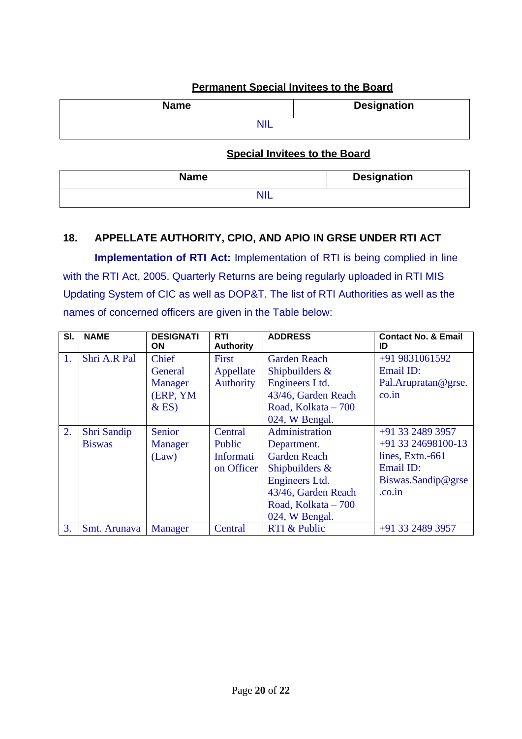| <b>Name</b> | <b>Designation</b> |  |  |  |
|-------------|--------------------|--|--|--|
|             |                    |  |  |  |
|             |                    |  |  |  |

### **Permanent Special Invitees to the Board**

### **Special Invitees to the Board**

| <b>Name</b> | <b>Designation</b> |
|-------------|--------------------|
| <b>NIL</b>  |                    |

## **18. APPELLATE AUTHORITY, CPIO, AND APIO IN GRSE UNDER RTI ACT**

**Implementation of RTI Act:** Implementation of RTI is being complied in line with the RTI Act, 2005. Quarterly Returns are being regularly uploaded in RTI MIS Updating System of CIC as well as DOP&T. The list of RTI Authorities as well as the names of concerned officers are given in the Table below:

| SI. | <b>NAME</b>   | <b>DESIGNATI</b><br>ON | <b>RTI</b><br><b>Authority</b> | <b>ADDRESS</b>      | <b>Contact No. &amp; Email</b><br>ID |
|-----|---------------|------------------------|--------------------------------|---------------------|--------------------------------------|
| 1.  | Shri A.R Pal  | Chief                  | First                          | <b>Garden Reach</b> | +91 9831061592                       |
|     |               | General                | Appellate                      | Shipbuilders $\&$   | Email ID:                            |
|     |               | <b>Manager</b>         | Authority                      | Engineers Ltd.      | Pal.Arupratan@grse.                  |
|     |               | (ERP, YM               |                                | 43/46, Garden Reach | $\overline{co.in}$                   |
|     |               | $\&$ ES)               |                                | Road, Kolkata - 700 |                                      |
|     |               |                        |                                | 024, W Bengal.      |                                      |
| 2.  | Shri Sandip   | Senior                 | Central                        | Administration      | +91 33 2489 3957                     |
|     | <b>Biswas</b> | <b>Manager</b>         | Public                         | Department.         | +91 33 24698100-13                   |
|     |               | (Law)                  | Informati                      | <b>Garden Reach</b> | lines, Extn.-661                     |
|     |               |                        | on Officer                     | Shipbuilders $\&$   | Email ID:                            |
|     |               |                        |                                | Engineers Ltd.      | Biswas.Sandip@grse                   |
|     |               |                        |                                | 43/46, Garden Reach | .co.in                               |
|     |               |                        |                                | Road, Kolkata - 700 |                                      |
|     |               |                        |                                | 024, W Bengal.      |                                      |
| 3.  | Smt. Arunava  | <b>Manager</b>         | Central                        | RTI & Public        | +91 33 2489 3957                     |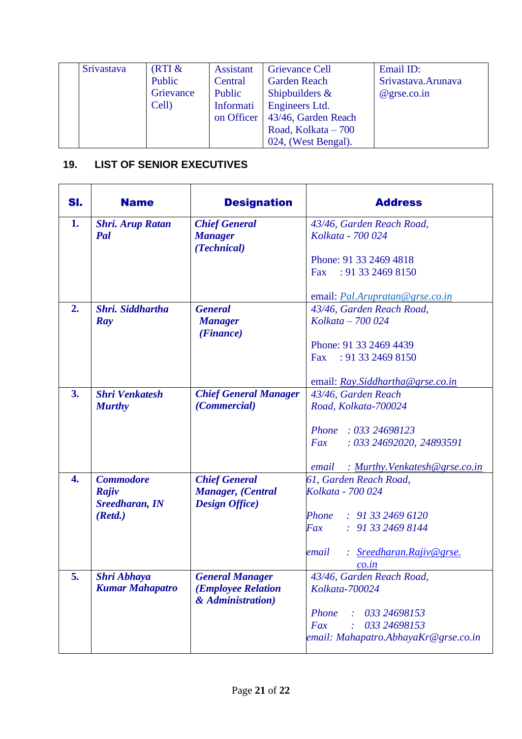| <b>Srivastava</b> | (RTI &    | Assistant  | <b>Grievance Cell</b> | Email ID:           |
|-------------------|-----------|------------|-----------------------|---------------------|
|                   | Public    | Central    | <b>Garden Reach</b>   | Srivastava. Arunava |
|                   | Grievance | Public     | Shipbuilders $\&$     | $@$ grse.co.in      |
|                   | Cell)     | Informati  | Engineers Ltd.        |                     |
|                   |           | on Officer | 43/46, Garden Reach   |                     |
|                   |           |            | Road, Kolkata $-700$  |                     |
|                   |           |            | 024, (West Bengal).   |                     |

# **19. LIST OF SENIOR EXECUTIVES**

| SI.              | <b>Name</b>                    | <b>Designation</b>                                 | <b>Address</b>                          |
|------------------|--------------------------------|----------------------------------------------------|-----------------------------------------|
| 1.               | <b>Shri. Arup Ratan</b>        | <b>Chief General</b>                               | 43/46, Garden Reach Road,               |
|                  | Pal                            | <b>Manager</b><br>(Technical)                      | Kolkata - 700 024                       |
|                  |                                |                                                    | Phone: 91 33 2469 4818                  |
|                  |                                |                                                    | : 913324698150<br>Fax                   |
|                  |                                |                                                    | email: Pal.Arupratan@grse.co.in         |
| 2.               | Shri, Siddhartha               | <b>General</b>                                     | 43/46, Garden Reach Road,               |
|                  | Ray                            | <b>Manager</b><br>(Finance)                        | Kolkata - 700 024                       |
|                  |                                |                                                    | Phone: 91 33 2469 4439                  |
|                  |                                |                                                    | : 91 33 2469 8150<br>Fax                |
|                  |                                |                                                    | email: Ray.Siddhartha@grse.co.in        |
| 3.               | <b>Shri Venkatesh</b>          | <b>Chief General Manager</b>                       | 43/46, Garden Reach                     |
|                  | <b>Murthy</b>                  | (Commercial)                                       | Road, Kolkata-700024                    |
|                  |                                |                                                    | Phone: 033 24698123                     |
|                  |                                |                                                    | : 033 24692020, 24893591<br>Fax         |
|                  |                                |                                                    | : Murthy. Venkatesh@grse.co.in<br>email |
| $\overline{4}$ . | <b>Commodore</b>               | <b>Chief General</b>                               | 61, Garden Reach Road,                  |
|                  | Rajiv<br><b>Sreedharan, IN</b> | <b>Manager, (Central</b><br><b>Design Office</b> ) | Kolkata - 700 024                       |
|                  | (Retd.)                        |                                                    | Phone<br>: 913324696120                 |
|                  |                                |                                                    | Fax<br>: 913324698144                   |
|                  |                                |                                                    | : Sreedharan.Rajiv@grse.<br>email       |
|                  |                                |                                                    | $\frac{co.in}{c}$                       |
| 5.               | <b>Shri Abhaya</b>             | <b>General Manager</b>                             | 43/46, Garden Reach Road,               |
|                  | <b>Kumar Mahapatro</b>         | ( <i>Employee Relation</i><br>& Administration)    | Kolkata-700024                          |
|                  |                                |                                                    | 033 24698153<br>Phone                   |
|                  |                                |                                                    | 033 24698153<br>Fax                     |
|                  |                                |                                                    | email: Mahapatro.AbhayaKr@grse.co.in    |
|                  |                                |                                                    |                                         |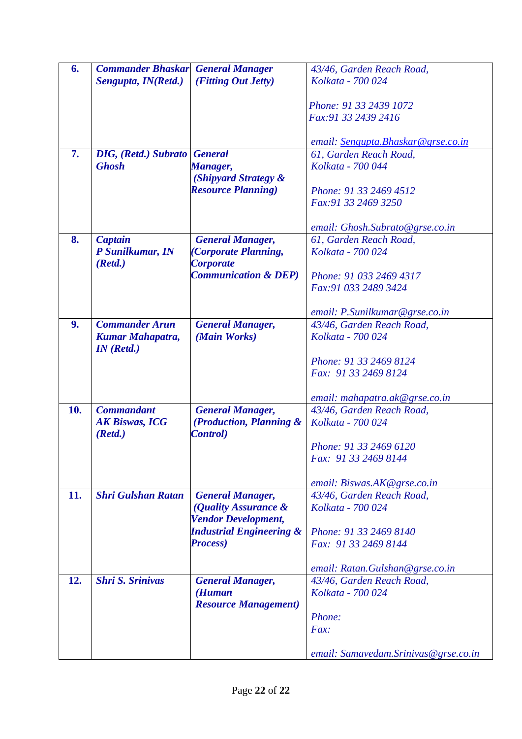| 6.             | <b>Commander Bhaskar</b> General Manager |                                     | 43/46, Garden Reach Road,             |
|----------------|------------------------------------------|-------------------------------------|---------------------------------------|
|                | Sengupta, IN(Retd.)                      | (Fitting Out Jetty)                 | Kolkata - 700 024                     |
|                |                                          |                                     |                                       |
|                |                                          |                                     | Phone: 91 33 2439 1072                |
|                |                                          |                                     | Fax: 91 33 2439 2416                  |
|                |                                          |                                     |                                       |
|                |                                          |                                     | email: Sengupta.Bhaskar@grse.co.in    |
| 7.             | <b>DIG, (Retd.) Subrato General</b>      |                                     | 61, Garden Reach Road,                |
|                | <b>Ghosh</b>                             | Manager,                            | Kolkata - 700 044                     |
|                |                                          | (Shipyard Strategy &                |                                       |
|                |                                          | <b>Resource Planning</b> )          | Phone: 91 33 2469 4512                |
|                |                                          |                                     | Fax: 91 33 2469 3250                  |
|                |                                          |                                     |                                       |
|                |                                          |                                     | email: Ghosh.Subrato@grse.co.in       |
| 8.             | <b>Captain</b>                           | <b>General Manager,</b>             | 61, Garden Reach Road,                |
|                | P Sunilkumar, IN                         | (Corporate Planning,                | Kolkata - 700 024                     |
|                | (Retd.)                                  | <b>Corporate</b>                    |                                       |
|                |                                          | <b>Communication &amp; DEP</b> )    | Phone: 91 033 2469 4317               |
|                |                                          |                                     | Fax: 91 033 2489 3424                 |
|                |                                          |                                     |                                       |
|                |                                          |                                     | email: P.Sunilkumar@grse.co.in        |
| 9 <sub>1</sub> | <b>Commander Arun</b>                    | <b>General Manager,</b>             | 43/46, Garden Reach Road,             |
|                | <b>Kumar Mahapatra,</b>                  | (Main Works)                        | Kolkata - 700 024                     |
|                | IN(Retd.)                                |                                     |                                       |
|                |                                          |                                     | Phone: 91 33 2469 8124                |
|                |                                          |                                     | Fax: 91 33 2469 8124                  |
|                |                                          |                                     |                                       |
|                |                                          |                                     | email: mahapatra.ak@grse.co.in        |
| 10.            | <b>Commandant</b>                        | <b>General Manager,</b>             | 43/46, Garden Reach Road,             |
|                | <b>AK Biswas, ICG</b>                    | (Production, Planning &             | Kolkata - 700 024                     |
|                | (Retd.)                                  | <b>Control</b> )                    |                                       |
|                |                                          |                                     | Phone: 91 33 2469 6120                |
|                |                                          |                                     | Fax: 91 33 2469 8144                  |
|                |                                          |                                     |                                       |
|                |                                          |                                     | email: Biswas.AK@grse.co.in           |
| 11.            | <b>Shri Gulshan Ratan</b>                | <b>General Manager,</b>             | 43/46, Garden Reach Road,             |
|                |                                          | (Quality Assurance &                | Kolkata - 700 024                     |
|                |                                          | <b>Vendor Development,</b>          |                                       |
|                |                                          | <b>Industrial Engineering &amp;</b> | Phone: 91 33 2469 8140                |
|                |                                          | <b>Process</b> )                    | Fax: 91 33 2469 8144                  |
|                |                                          |                                     |                                       |
|                |                                          |                                     | email: Ratan.Gulshan@grse.co.in       |
| 12.            | <b>Shri S. Srinivas</b>                  | <b>General Manager,</b>             | 43/46, Garden Reach Road,             |
|                |                                          | (Human                              | Kolkata - 700 024                     |
|                |                                          | <b>Resource Management</b> )        |                                       |
|                |                                          |                                     | Phone:                                |
|                |                                          |                                     | Fax:                                  |
|                |                                          |                                     |                                       |
|                |                                          |                                     | email: Samavedam. Srinivas@grse.co.in |